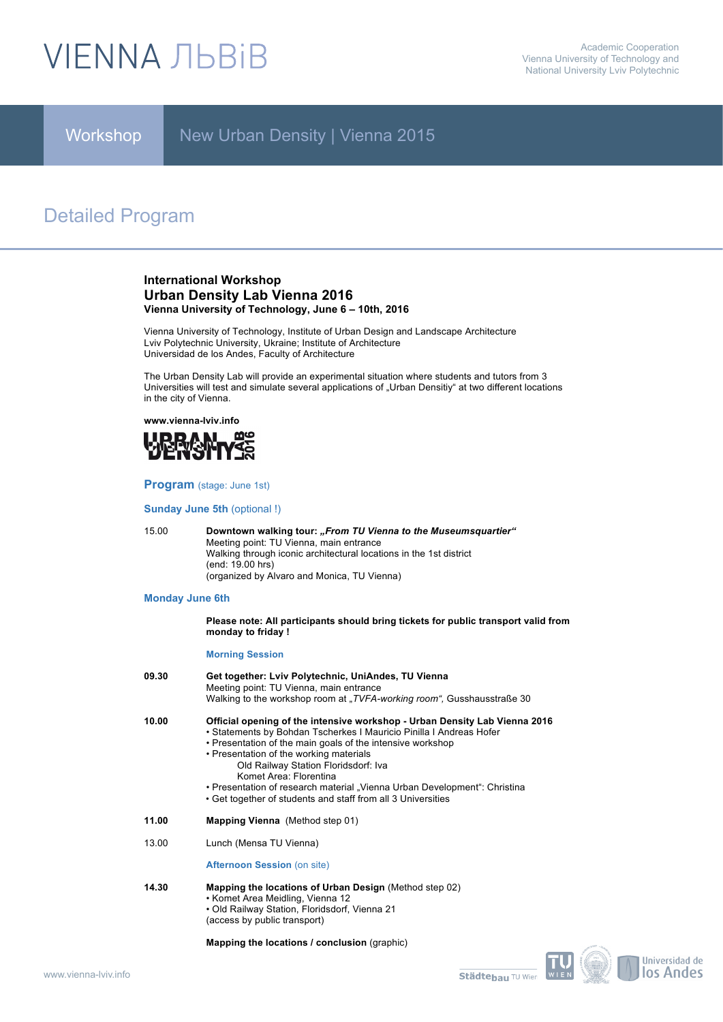# **VIENNA ЛЬВІВ**

Workshop

New Urban Density | Vienna 2015

# Detailed Program

# **International Workshop Urban Density Lab Vienna 2016 Vienna University of Technology, June 6 – 10th, 2016**

Vienna University of Technology, Institute of Urban Design and Landscape Architecture Lviv Polytechnic University, Ukraine; Institute of Architecture Universidad de los Andes, Faculty of Architecture

The Urban Density Lab will provide an experimental situation where students and tutors from 3 Universities will test and simulate several applications of "Urban Densitiy" at two different locations in the city of Vienna.

**www.vienna-lviv.info**



**Program** (stage: June 1st)

**Sunday June 5th** (optional !)

15.00 **Downtown walking tour:** *"From TU Vienna to the Museumsquartier"* Meeting point: TU Vienna, main entrance Walking through iconic architectural locations in the 1st district (end: 19.00 hrs) (organized by Alvaro and Monica, TU Vienna)

# **Monday June 6th**

**Please note: All participants should bring tickets for public transport valid from monday to friday !**

## **Morning Session**

| 09.30 | Get together: Lviv Polytechnic, UniAndes, TU Vienna<br>Meeting point: TU Vienna, main entrance<br>Walking to the workshop room at "TVFA-working room", Gusshausstraße 30                                                                                                                                                                                                                                                                                                  |
|-------|---------------------------------------------------------------------------------------------------------------------------------------------------------------------------------------------------------------------------------------------------------------------------------------------------------------------------------------------------------------------------------------------------------------------------------------------------------------------------|
| 10.00 | Official opening of the intensive workshop - Urban Density Lab Vienna 2016<br>• Statements by Bohdan Tscherkes I Mauricio Pinilla I Andreas Hofer<br>• Presentation of the main goals of the intensive workshop<br>• Presentation of the working materials<br>Old Railway Station Floridsdorf: Iva<br>Komet Area: Florentina<br>• Presentation of research material "Vienna Urban Development": Christina<br>• Get together of students and staff from all 3 Universities |
| 11.00 | <b>Mapping Vienna</b> (Method step 01)                                                                                                                                                                                                                                                                                                                                                                                                                                    |
| 13.00 | Lunch (Mensa TU Vienna)                                                                                                                                                                                                                                                                                                                                                                                                                                                   |
|       | <b>Afternoon Session (on site)</b>                                                                                                                                                                                                                                                                                                                                                                                                                                        |

- **14.30 Mapping the locations of Urban Design** (Method step 02) • Komet Area Meidling, Vienna 12
	- Old Railway Station, Floridsdorf, Vienna 21 (access by public transport)

**Mapping the locations / conclusion** (graphic)

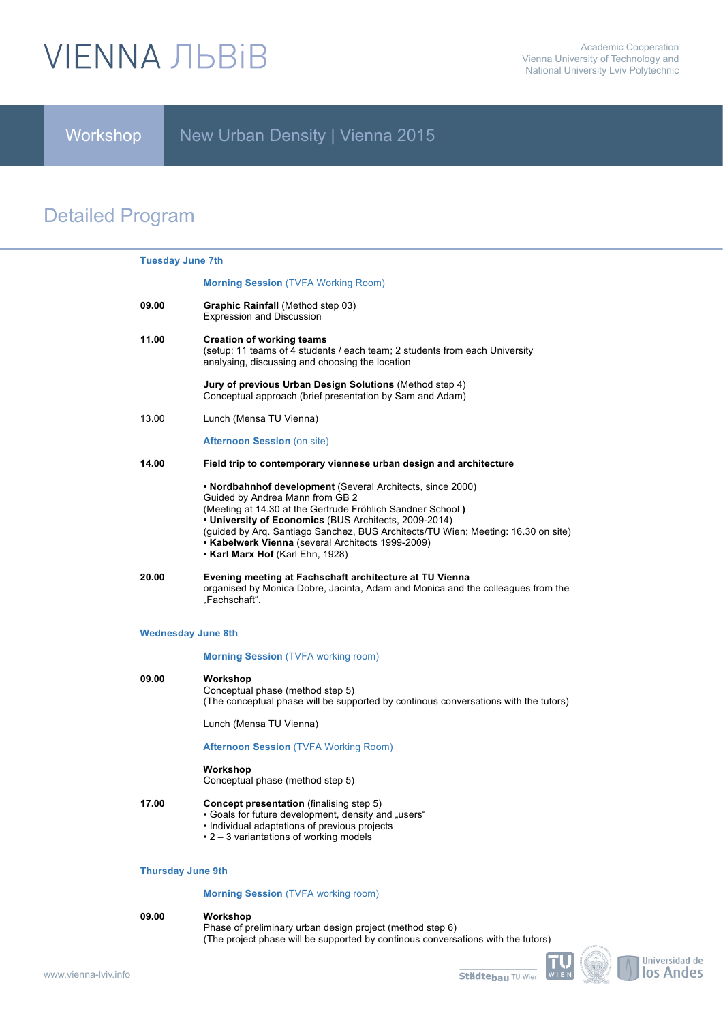# **VIENNA ЛЬВІВ**

Workshop

New Urban Density | Vienna 2015

# Detailed Program

| <b>Tuesday June 7th</b>   |                                                                                                                                                                                                                                                                                                                                                                                                    |
|---------------------------|----------------------------------------------------------------------------------------------------------------------------------------------------------------------------------------------------------------------------------------------------------------------------------------------------------------------------------------------------------------------------------------------------|
|                           | <b>Morning Session (TVFA Working Room)</b>                                                                                                                                                                                                                                                                                                                                                         |
| 09.00                     | Graphic Rainfall (Method step 03)<br><b>Expression and Discussion</b>                                                                                                                                                                                                                                                                                                                              |
| 11.00                     | <b>Creation of working teams</b><br>(setup: 11 teams of 4 students / each team; 2 students from each University<br>analysing, discussing and choosing the location                                                                                                                                                                                                                                 |
|                           | Jury of previous Urban Design Solutions (Method step 4)<br>Conceptual approach (brief presentation by Sam and Adam)                                                                                                                                                                                                                                                                                |
| 13.00                     | Lunch (Mensa TU Vienna)                                                                                                                                                                                                                                                                                                                                                                            |
|                           | <b>Afternoon Session (on site)</b>                                                                                                                                                                                                                                                                                                                                                                 |
| 14.00                     | Field trip to contemporary viennese urban design and architecture                                                                                                                                                                                                                                                                                                                                  |
|                           | • Nordbahnhof development (Several Architects, since 2000)<br>Guided by Andrea Mann from GB 2<br>(Meeting at 14.30 at the Gertrude Fröhlich Sandner School)<br>• University of Economics (BUS Architects, 2009-2014)<br>(guided by Arg. Santiago Sanchez, BUS Architects/TU Wien; Meeting: 16.30 on site)<br>• Kabelwerk Vienna (several Architects 1999-2009)<br>• Karl Marx Hof (Karl Ehn, 1928) |
| 20.00                     | Evening meeting at Fachschaft architecture at TU Vienna<br>organised by Monica Dobre, Jacinta, Adam and Monica and the colleagues from the<br>"Fachschaft".                                                                                                                                                                                                                                        |
| <b>Wednesday June 8th</b> |                                                                                                                                                                                                                                                                                                                                                                                                    |
|                           | <b>Morning Session (TVFA working room)</b>                                                                                                                                                                                                                                                                                                                                                         |

# **09.00 Workshop**  Conceptual phase (method step 5) (The conceptual phase will be supported by continous conversations with the tutors)

Lunch (Mensa TU Vienna)

# **Afternoon Session** (TVFA Working Room)

# **Workshop**

Conceptual phase (method step 5)

- **17.00 Concept presentation** (finalising step 5)
	- Goals for future development, density and "users"
		- Individual adaptations of previous projects
		- 2 3 variantations of working models

## **Thursday June 9th**

# **Morning Session** (TVFA working room)

## **09.00 Workshop**

Phase of preliminary urban design project (method step 6) (The project phase will be supported by continous conversations with the tutors)



Universidad de los Andes